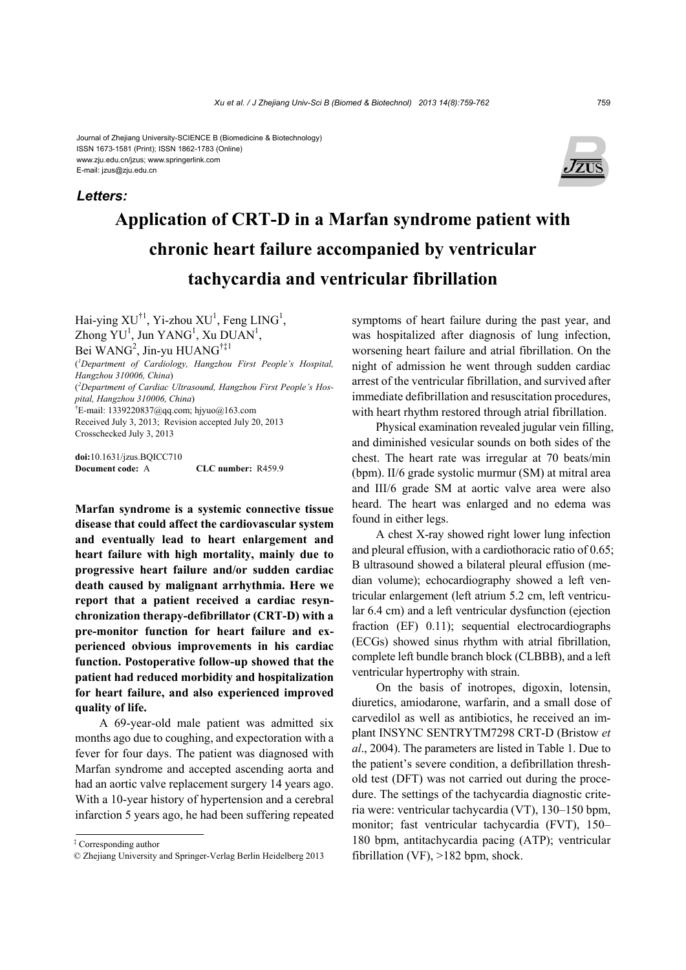#### Journal of Zhejiang University-SCIENCE B (Biomedicine & Biotechnology) ISSN 1673-1581 (Print); ISSN 1862-1783 (Online) www.zju.edu.cn/jzus; www.springerlink.com E-mail: jzus@zju.edu.cn

### *Letters:*



# **Application of CRT-D in a Marfan syndrome patient with chronic heart failure accompanied by ventricular tachycardia and ventricular fibrillation**

Hai-ying  $XU^{\dagger 1}$ , Yi-zhou  $XU^1$ , Feng LING<sup>1</sup>, Zhong YU<sup>1</sup>, Jun YANG<sup>1</sup>, Xu DUAN<sup>1</sup>, Bei WANG<sup>2</sup>, Jin-yu HUANG<sup>†‡1</sup> ( *1 Department of Cardiology, Hangzhou First People's Hospital, Hangzhou 310006, China*) ( *2 Department of Cardiac Ultrasound, Hangzhou First People's Hospital, Hangzhou 310006, China*) †  $E$ -mail: 1339220837@qq.com; hjyuo@163.com Received July 3, 2013; Revision accepted July 20, 2013 Crosschecked July 3, 2013

**doi:**10.1631/jzus.BQICC710 **Document code:** A **CLC number:** R459.9

**Marfan syndrome is a systemic connective tissue disease that could affect the cardiovascular system and eventually lead to heart enlargement and heart failure with high mortality, mainly due to progressive heart failure and/or sudden cardiac death caused by malignant arrhythmia. Here we report that a patient received a cardiac resynchronization therapy-defibrillator (CRT-D) with a pre-monitor function for heart failure and experienced obvious improvements in his cardiac function. Postoperative follow-up showed that the patient had reduced morbidity and hospitalization for heart failure, and also experienced improved quality of life.** 

A 69-year-old male patient was admitted six months ago due to coughing, and expectoration with a fever for four days. The patient was diagnosed with Marfan syndrome and accepted ascending aorta and had an aortic valve replacement surgery 14 years ago. With a 10-year history of hypertension and a cerebral infarction 5 years ago, he had been suffering repeated symptoms of heart failure during the past year, and was hospitalized after diagnosis of lung infection, worsening heart failure and atrial fibrillation. On the night of admission he went through sudden cardiac arrest of the ventricular fibrillation, and survived after immediate defibrillation and resuscitation procedures, with heart rhythm restored through atrial fibrillation.

Physical examination revealed jugular vein filling, and diminished vesicular sounds on both sides of the chest. The heart rate was irregular at 70 beats/min (bpm). II/6 grade systolic murmur (SM) at mitral area and III/6 grade SM at aortic valve area were also heard. The heart was enlarged and no edema was found in either legs.

A chest X-ray showed right lower lung infection and pleural effusion, with a cardiothoracic ratio of 0.65; B ultrasound showed a bilateral pleural effusion (median volume); echocardiography showed a left ventricular enlargement (left atrium 5.2 cm, left ventricular 6.4 cm) and a left ventricular dysfunction (ejection fraction (EF) 0.11); sequential electrocardiographs (ECGs) showed sinus rhythm with atrial fibrillation, complete left bundle branch block (CLBBB), and a left ventricular hypertrophy with strain.

On the basis of inotropes, digoxin, lotensin, diuretics, amiodarone, warfarin, and a small dose of carvedilol as well as antibiotics, he received an implant INSYNC SENTRYTM7298 CRT-D (Bristow *et al*., 2004). The parameters are listed in Table 1. Due to the patient's severe condition, a defibrillation threshold test (DFT) was not carried out during the procedure. The settings of the tachycardia diagnostic criteria were: ventricular tachycardia (VT), 130–150 bpm, monitor; fast ventricular tachycardia (FVT), 150– 180 bpm, antitachycardia pacing (ATP); ventricular fibrillation (VF), >182 bpm, shock.

<sup>‡</sup> Corresponding author

<sup>©</sup> Zhejiang University and Springer-Verlag Berlin Heidelberg 2013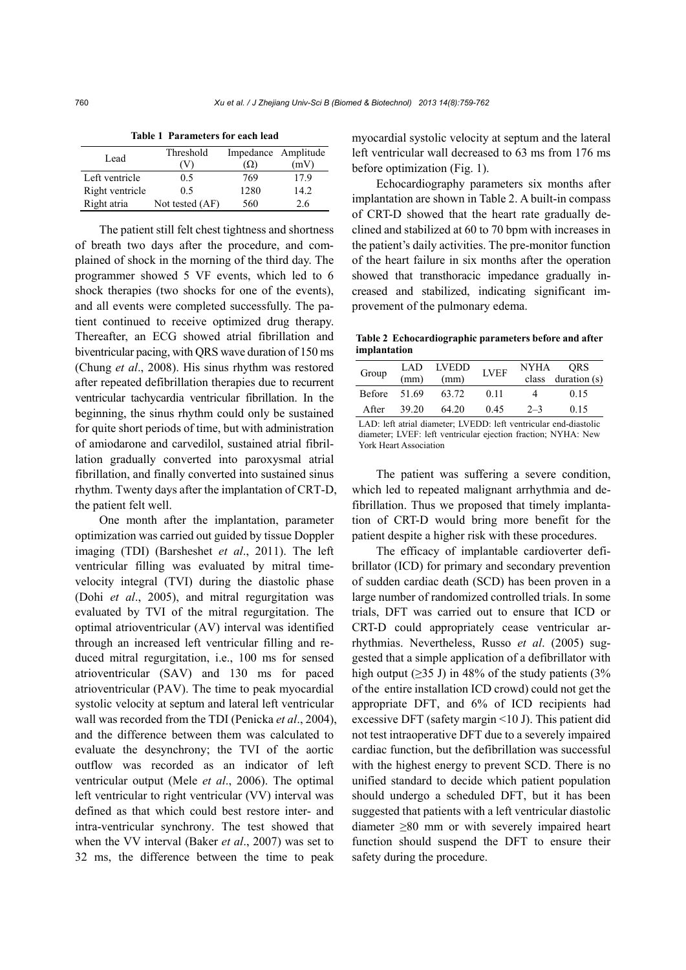| Lead            | Threshold<br>V) | Impedance Amplitude<br>(Q) | (mV) |
|-----------------|-----------------|----------------------------|------|
| Left ventricle  | 0.5             | 769                        | 179  |
| Right ventricle | 0 <sub>5</sub>  | 1280                       | 14.2 |
| Right atria     | Not tested (AF) | 560                        | 2.6  |

**Table 1 Parameters for each lead** 

The patient still felt chest tightness and shortness of breath two days after the procedure, and complained of shock in the morning of the third day. The programmer showed 5 VF events, which led to 6 shock therapies (two shocks for one of the events), and all events were completed successfully. The patient continued to receive optimized drug therapy. Thereafter, an ECG showed atrial fibrillation and biventricular pacing, with QRS wave duration of 150 ms (Chung *et al*., 2008). His sinus rhythm was restored after repeated defibrillation therapies due to recurrent ventricular tachycardia ventricular fibrillation. In the beginning, the sinus rhythm could only be sustained for quite short periods of time, but with administration of amiodarone and carvedilol, sustained atrial fibrillation gradually converted into paroxysmal atrial fibrillation, and finally converted into sustained sinus rhythm. Twenty days after the implantation of CRT-D, the patient felt well.

One month after the implantation, parameter optimization was carried out guided by tissue Doppler imaging (TDI) (Barsheshet *et al*., 2011). The left ventricular filling was evaluated by mitral timevelocity integral (TVI) during the diastolic phase (Dohi *et al*., 2005), and mitral regurgitation was evaluated by TVI of the mitral regurgitation. The optimal atrioventricular (AV) interval was identified through an increased left ventricular filling and reduced mitral regurgitation, i.e., 100 ms for sensed atrioventricular (SAV) and 130 ms for paced atrioventricular (PAV). The time to peak myocardial systolic velocity at septum and lateral left ventricular wall was recorded from the TDI (Penicka *et al*., 2004), and the difference between them was calculated to evaluate the desynchrony; the TVI of the aortic outflow was recorded as an indicator of left ventricular output (Mele *et al*., 2006). The optimal left ventricular to right ventricular (VV) interval was defined as that which could best restore inter- and intra-ventricular synchrony. The test showed that when the VV interval (Baker *et al*., 2007) was set to 32 ms, the difference between the time to peak

myocardial systolic velocity at septum and the lateral left ventricular wall decreased to 63 ms from 176 ms before optimization (Fig. 1).

Echocardiography parameters six months after implantation are shown in Table 2. A built-in compass of CRT-D showed that the heart rate gradually declined and stabilized at 60 to 70 bpm with increases in the patient's daily activities. The pre-monitor function of the heart failure in six months after the operation showed that transthoracic impedance gradually increased and stabilized, indicating significant improvement of the pulmonary edema.

**Table 2 Echocardiographic parameters before and after implantation**

| Group          | (mm)  | LAD LVEDD<br>(mm) | <b>LVEF</b> |         | NYHA ORS<br>class duration (s) |
|----------------|-------|-------------------|-------------|---------|--------------------------------|
| Before $51.69$ |       | 63.72             | 0.11        | 4       | 0.15                           |
| After          | 39.20 | 64.20             | 0.45        | $2 - 3$ | 0.15                           |
|                |       |                   |             |         | .                              |

LAD: left atrial diameter; LVEDD: left ventricular end-diastolic diameter; LVEF: left ventricular ejection fraction; NYHA: New York Heart Association

The patient was suffering a severe condition, which led to repeated malignant arrhythmia and defibrillation. Thus we proposed that timely implantation of CRT-D would bring more benefit for the patient despite a higher risk with these procedures.

The efficacy of implantable cardioverter defibrillator (ICD) for primary and secondary prevention of sudden cardiac death (SCD) has been proven in a large number of randomized controlled trials. In some trials, DFT was carried out to ensure that ICD or CRT-D could appropriately cease ventricular arrhythmias. Nevertheless, Russo *et al*. (2005) suggested that a simple application of a defibrillator with high output ( $\geq$ 35 J) in 48% of the study patients (3% of the entire installation ICD crowd) could not get the appropriate DFT, and 6% of ICD recipients had excessive DFT (safety margin <10 J). This patient did not test intraoperative DFT due to a severely impaired cardiac function, but the defibrillation was successful with the highest energy to prevent SCD. There is no unified standard to decide which patient population should undergo a scheduled DFT, but it has been suggested that patients with a left ventricular diastolic diameter ≥80 mm or with severely impaired heart function should suspend the DFT to ensure their safety during the procedure.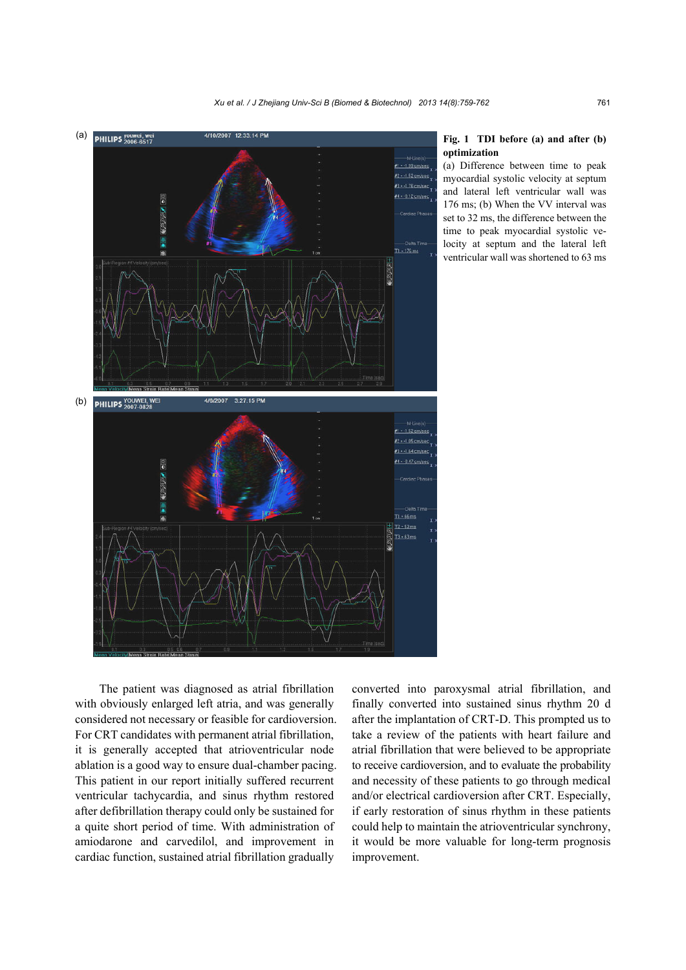

### **Fig. 1 TDI before (a) and after (b) optimization**

(a) Difference between time to peak myocardial systolic velocity at septum and lateral left ventricular wall was 176 ms; (b) When the VV interval was set to 32 ms, the difference between the time to peak myocardial systolic velocity at septum and the lateral left ventricular wall was shortened to 63 ms

The patient was diagnosed as atrial fibrillation with obviously enlarged left atria, and was generally considered not necessary or feasible for cardioversion. For CRT candidates with permanent atrial fibrillation, it is generally accepted that atrioventricular node ablation is a good way to ensure dual-chamber pacing. This patient in our report initially suffered recurrent ventricular tachycardia, and sinus rhythm restored after defibrillation therapy could only be sustained for a quite short period of time. With administration of amiodarone and carvedilol, and improvement in cardiac function, sustained atrial fibrillation gradually

converted into paroxysmal atrial fibrillation, and finally converted into sustained sinus rhythm 20 d after the implantation of CRT-D. This prompted us to take a review of the patients with heart failure and atrial fibrillation that were believed to be appropriate to receive cardioversion, and to evaluate the probability and necessity of these patients to go through medical and/or electrical cardioversion after CRT. Especially, if early restoration of sinus rhythm in these patients could help to maintain the atrioventricular synchrony, it would be more valuable for long-term prognosis improvement.